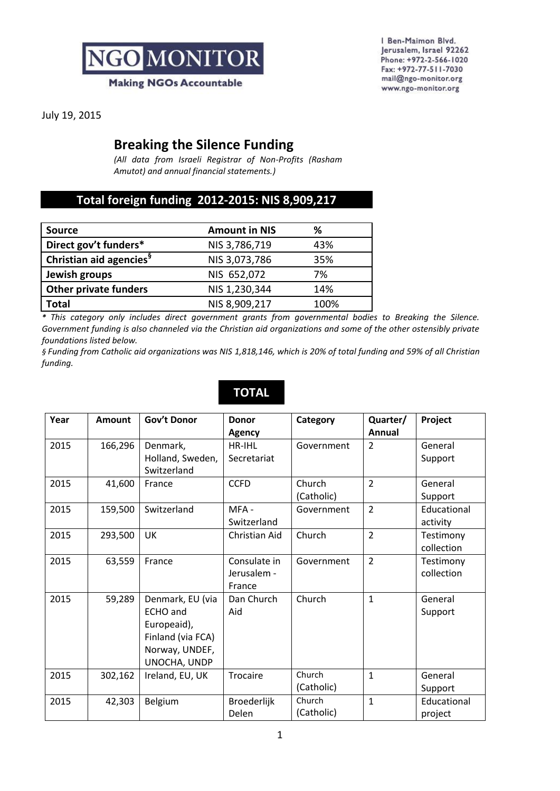

I Ben-Maimon Blvd. Jerusalem, Israel 92262 Phone: +972-2-566-1020 Fax: +972-77-511-7030 mail@ngo-monitor.org www.ngo-monitor.org

July 19, 2015

### **Breaking the Silence Funding**

*(All data from Israeli Registrar of Non-Profits (Rasham Amutot) and annual financial statements.)*

#### **Total foreign funding 2012-2015: NIS 8,909,217**

| <b>Source</b>                       | <b>Amount in NIS</b> | ℅    |
|-------------------------------------|----------------------|------|
| Direct gov't funders*               | NIS 3,786,719        | 43%  |
| Christian aid agencies <sup>9</sup> | NIS 3,073,786        | 35%  |
| Jewish groups                       | NIS 652,072          | 7%   |
| <b>Other private funders</b>        | NIS 1,230,344        | 14%  |
| Total                               | NIS 8,909,217        | 100% |

*\* This category only includes direct government grants from governmental bodies to Breaking the Silence. Government funding is also channeled via the Christian aid organizations and some of the other ostensibly private foundations listed below.* 

*§ Funding from Catholic aid organizations was NIS 1,818,146, which is 20% of total funding and 59% of all Christian funding.*

| Year | <b>Amount</b> | <b>Gov't Donor</b>                                                                                        | <b>Donor</b><br>Agency                | Category             | Quarter/<br>Annual | Project                 |
|------|---------------|-----------------------------------------------------------------------------------------------------------|---------------------------------------|----------------------|--------------------|-------------------------|
| 2015 | 166,296       | Denmark,<br>Holland, Sweden,<br>Switzerland                                                               | HR-IHL<br>Secretariat                 | Government           | $\overline{2}$     | General<br>Support      |
| 2015 | 41,600        | France                                                                                                    | <b>CCFD</b>                           | Church<br>(Catholic) | $\overline{2}$     | General<br>Support      |
| 2015 | 159,500       | Switzerland                                                                                               | MFA-<br>Switzerland                   | Government           | $\overline{2}$     | Educational<br>activity |
| 2015 | 293,500       | <b>UK</b>                                                                                                 | Christian Aid                         | Church               | $\overline{2}$     | Testimony<br>collection |
| 2015 | 63,559        | France                                                                                                    | Consulate in<br>Jerusalem -<br>France | Government           | $\overline{2}$     | Testimony<br>collection |
| 2015 | 59,289        | Denmark, EU (via<br><b>ECHO</b> and<br>Europeaid),<br>Finland (via FCA)<br>Norway, UNDEF,<br>UNOCHA, UNDP | Dan Church<br>Aid                     | Church               | $\mathbf{1}$       | General<br>Support      |
| 2015 | 302,162       | Ireland, EU, UK                                                                                           | Trocaire                              | Church<br>(Catholic) | $\mathbf{1}$       | General<br>Support      |
| 2015 | 42,303        | Belgium                                                                                                   | Broederlijk<br>Delen                  | Church<br>(Catholic) | 1                  | Educational<br>project  |

## **TOTAL**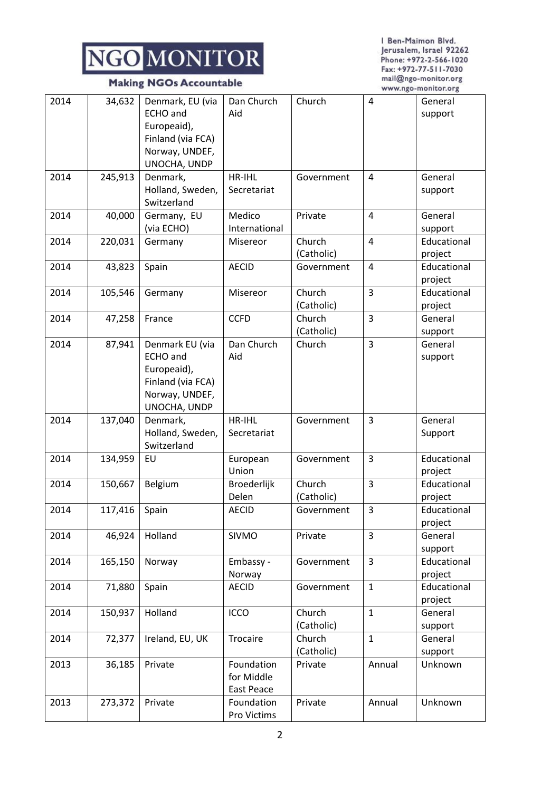#### **Making NGOs Accountable**

I Ben-Maimon Blvd. Jerusalem, Israel 92262 Phone: +972-2-566-1020 Fax: +972-77-511-7030 mail@ngo-monitor.org www.ngo-monitor.org

| 2014 | 34,632  | Denmark, EU (via<br><b>ECHO</b> and<br>Europeaid),<br>Finland (via FCA)<br>Norway, UNDEF,<br>UNOCHA, UNDP | Dan Church<br>Aid                      | Church               | $\overline{4}$ | General<br>support     |
|------|---------|-----------------------------------------------------------------------------------------------------------|----------------------------------------|----------------------|----------------|------------------------|
| 2014 | 245,913 | Denmark,<br>Holland, Sweden,<br>Switzerland                                                               | HR-IHL<br>Secretariat                  | Government           | $\overline{4}$ | General<br>support     |
| 2014 | 40,000  | Germany, EU<br>(via ECHO)                                                                                 | Medico<br>International                | Private              | 4              | General<br>support     |
| 2014 | 220,031 | Germany                                                                                                   | Misereor                               | Church<br>(Catholic) | $\overline{4}$ | Educational<br>project |
| 2014 | 43,823  | Spain                                                                                                     | <b>AECID</b>                           | Government           | 4              | Educational<br>project |
| 2014 | 105,546 | Germany                                                                                                   | Misereor                               | Church<br>(Catholic) | 3              | Educational<br>project |
| 2014 | 47,258  | France                                                                                                    | <b>CCFD</b>                            | Church<br>(Catholic) | 3              | General<br>support     |
| 2014 | 87,941  | Denmark EU (via<br><b>ECHO</b> and<br>Europeaid),<br>Finland (via FCA)<br>Norway, UNDEF,<br>UNOCHA, UNDP  | Dan Church<br>Aid                      | Church               | 3              | General<br>support     |
| 2014 | 137,040 | Denmark,<br>Holland, Sweden,<br>Switzerland                                                               | HR-IHL<br>Secretariat                  | Government           | 3              | General<br>Support     |
| 2014 | 134,959 | EU                                                                                                        | European<br>Union                      | Government           | 3              | Educational<br>project |
| 2014 | 150,667 | Belgium                                                                                                   | Broederlijk<br>Delen                   | Church<br>(Catholic) | 3              | Educational<br>project |
| 2014 | 117,416 | Spain                                                                                                     | <b>AECID</b>                           | Government           | 3              | Educational<br>project |
| 2014 | 46,924  | Holland                                                                                                   | SIVMO                                  | Private              | $\overline{3}$ | General<br>support     |
| 2014 | 165,150 | Norway                                                                                                    | Embassy -<br>Norway                    | Government           | 3              | Educational<br>project |
| 2014 | 71,880  | Spain                                                                                                     | <b>AECID</b>                           | Government           | $\mathbf{1}$   | Educational<br>project |
| 2014 | 150,937 | Holland                                                                                                   | <b>ICCO</b>                            | Church<br>(Catholic) | $\mathbf{1}$   | General<br>support     |
| 2014 | 72,377  | Ireland, EU, UK                                                                                           | Trocaire                               | Church<br>(Catholic) | $\mathbf{1}$   | General<br>support     |
| 2013 | 36,185  | Private                                                                                                   | Foundation<br>for Middle<br>East Peace | Private              | Annual         | Unknown                |
| 2013 | 273,372 | Private                                                                                                   | Foundation<br>Pro Victims              | Private              | Annual         | Unknown                |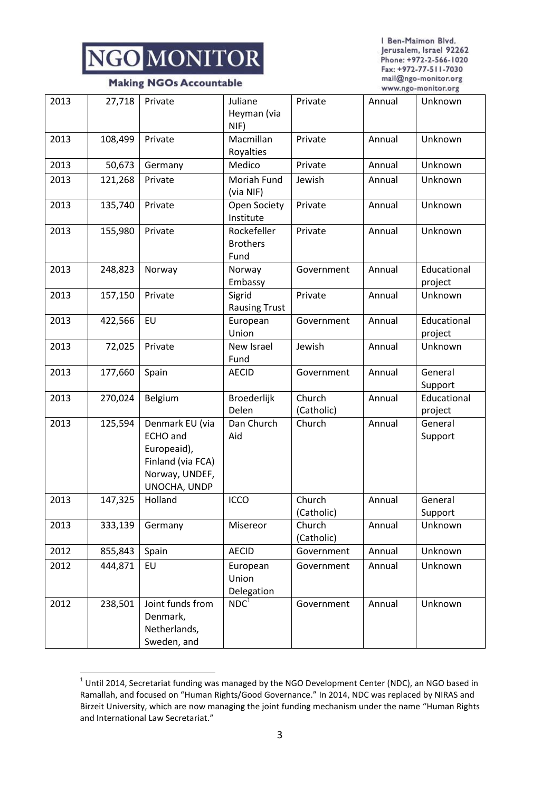I Ben-Maimon Blvd. Jerusalem, Israel 92262 Phone: +972-2-566-1020 Fax: +972-77-511-7030 mail@ngo-monitor.org www.ngo-monitor.org

|  |  | <b>Making NGOs Accountable</b> |
|--|--|--------------------------------|
|--|--|--------------------------------|

| 2013 | 27,718  | Private                                                                                                  | Juliane<br>Heyman (via<br>NIF)         | Private              | Annual | Unknown                |
|------|---------|----------------------------------------------------------------------------------------------------------|----------------------------------------|----------------------|--------|------------------------|
| 2013 | 108,499 | Private                                                                                                  | Macmillan<br>Royalties                 | Private              | Annual | Unknown                |
| 2013 | 50,673  | Germany                                                                                                  | Medico                                 | Private              | Annual | Unknown                |
| 2013 | 121,268 | Private                                                                                                  | Moriah Fund<br>(via NIF)               | Jewish               | Annual | Unknown                |
| 2013 | 135,740 | Private                                                                                                  | Open Society<br>Institute              | Private              | Annual | Unknown                |
| 2013 | 155,980 | Private                                                                                                  | Rockefeller<br><b>Brothers</b><br>Fund | Private              | Annual | Unknown                |
| 2013 | 248,823 | Norway                                                                                                   | Norway<br>Embassy                      | Government           | Annual | Educational<br>project |
| 2013 | 157,150 | Private                                                                                                  | Sigrid<br><b>Rausing Trust</b>         | Private              | Annual | Unknown                |
| 2013 | 422,566 | EU                                                                                                       | European<br>Union                      | Government           | Annual | Educational<br>project |
| 2013 | 72,025  | Private                                                                                                  | New Israel<br>Fund                     | Jewish               | Annual | Unknown                |
| 2013 | 177,660 | Spain                                                                                                    | <b>AECID</b>                           | Government           | Annual | General<br>Support     |
| 2013 | 270,024 | Belgium                                                                                                  | Broederlijk<br>Delen                   | Church<br>(Catholic) | Annual | Educational<br>project |
| 2013 | 125,594 | Denmark EU (via<br><b>ECHO</b> and<br>Europeaid),<br>Finland (via FCA)<br>Norway, UNDEF,<br>UNOCHA, UNDP | Dan Church<br>Aid                      | Church               | Annual | General<br>Support     |
| 2013 | 147,325 | Holland                                                                                                  | ICCO                                   | Church<br>(Catholic) | Annual | General<br>Support     |
| 2013 | 333,139 | Germany                                                                                                  | Misereor                               | Church<br>(Catholic) | Annual | Unknown                |
| 2012 | 855,843 | Spain                                                                                                    | <b>AECID</b>                           | Government           | Annual | Unknown                |
| 2012 | 444,871 | EU                                                                                                       | European<br>Union<br>Delegation        | Government           | Annual | Unknown                |
| 2012 | 238,501 | Joint funds from<br>Denmark,<br>Netherlands,<br>Sweden, and                                              | NDC <sup>1</sup>                       | Government           | Annual | Unknown                |

 1 Until 2014, Secretariat funding was managed by the NGO Development Center (NDC), an NGO based in Ramallah, and focused on "Human Rights/Good Governance." In 2014, NDC was replaced by NIRAS and Birzeit University, which are now managing the joint funding mechanism under the name "Human Rights and International Law Secretariat."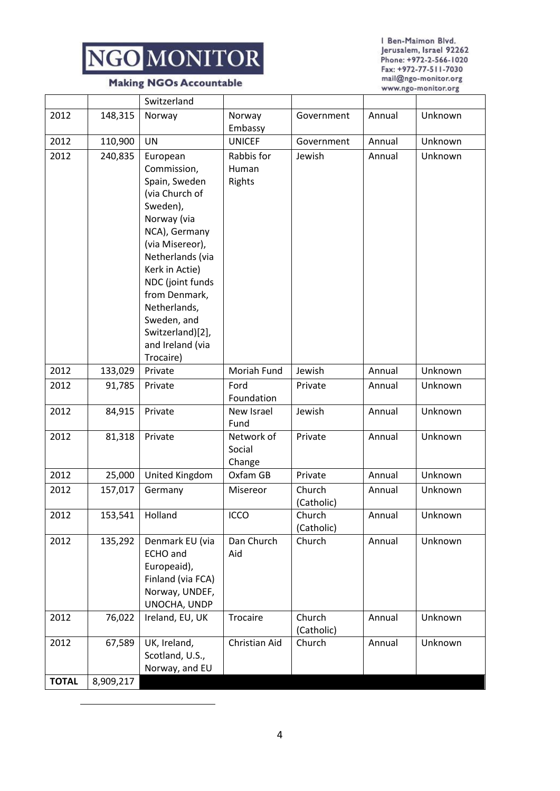

#### **Making NGOs Accountable**

I Ben-Maimon Blvd. Jerusalem, Israel 92262 Phone: +972-2-566-1020 Fax: +972-77-511-7030 mail@ngo-monitor.org www.ngo-monitor.org

| <b>TOTAL</b> | 8,909,217 |                                                                                                                                                                                                                                                               |                                |                      |        |         |
|--------------|-----------|---------------------------------------------------------------------------------------------------------------------------------------------------------------------------------------------------------------------------------------------------------------|--------------------------------|----------------------|--------|---------|
| 2012         | 67,589    | UK, Ireland,<br>Scotland, U.S.,<br>Norway, and EU                                                                                                                                                                                                             | Christian Aid                  | Church               | Annual | Unknown |
| 2012         | 76,022    | Ireland, EU, UK                                                                                                                                                                                                                                               | Trocaire                       | Church<br>(Catholic) | Annual | Unknown |
|              |           | Europeaid),<br>Finland (via FCA)<br>Norway, UNDEF,<br>UNOCHA, UNDP                                                                                                                                                                                            |                                |                      |        |         |
| 2012         | 135,292   | Denmark EU (via<br><b>ECHO</b> and                                                                                                                                                                                                                            | Dan Church<br>Aid              | Church               | Annual | Unknown |
| 2012         | 153,541   | Holland                                                                                                                                                                                                                                                       | <b>ICCO</b>                    | Church<br>(Catholic) | Annual | Unknown |
| 2012         | 157,017   | Germany                                                                                                                                                                                                                                                       | Misereor                       | Church<br>(Catholic) | Annual | Unknown |
| 2012         | 25,000    | United Kingdom                                                                                                                                                                                                                                                | Oxfam GB                       | Private              | Annual | Unknown |
| 2012         | 81,318    | Private                                                                                                                                                                                                                                                       | Network of<br>Social<br>Change | Private              | Annual | Unknown |
| 2012         | 84,915    | Private                                                                                                                                                                                                                                                       | New Israel<br>Fund             | Jewish               | Annual | Unknown |
| 2012         | 91,785    | Private                                                                                                                                                                                                                                                       | Ford<br>Foundation             | Private              | Annual | Unknown |
| 2012         | 133,029   | Private                                                                                                                                                                                                                                                       | Moriah Fund                    | Jewish               | Annual | Unknown |
|              |           | Spain, Sweden<br>(via Church of<br>Sweden),<br>Norway (via<br>NCA), Germany<br>(via Misereor),<br>Netherlands (via<br>Kerk in Actie)<br>NDC (joint funds<br>from Denmark,<br>Netherlands,<br>Sweden, and<br>Switzerland)[2],<br>and Ireland (via<br>Trocaire) | Rights                         |                      |        |         |
| 2012         | 240,835   | European<br>Commission,                                                                                                                                                                                                                                       | Rabbis for<br>Human            | Jewish               | Annual | Unknown |
| 2012         | 110,900   | <b>UN</b>                                                                                                                                                                                                                                                     | <b>UNICEF</b>                  | Government           | Annual | Unknown |
| 2012         | 148,315   | Norway                                                                                                                                                                                                                                                        | Norway<br>Embassy              | Government           | Annual | Unknown |
|              |           | Switzerland                                                                                                                                                                                                                                                   |                                |                      |        |         |

**.**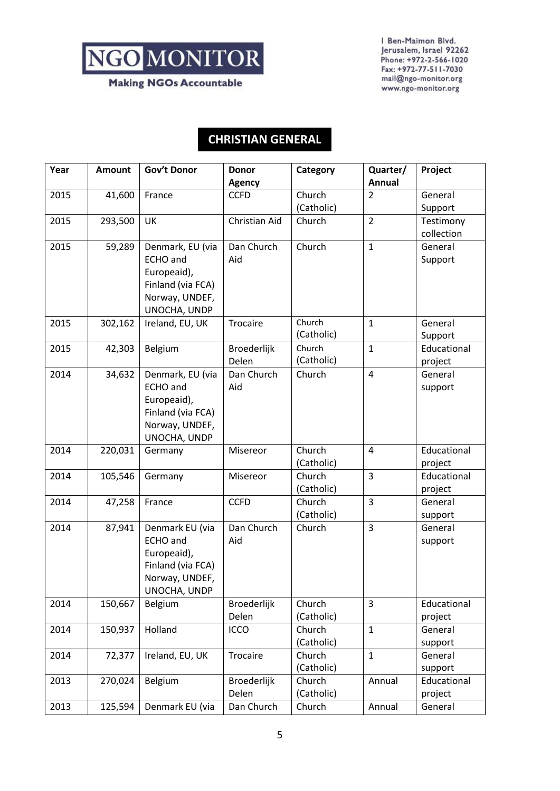**Making NGOs Accountable** 

I Ben-Maimon Blvd. Jerusalem, Israel 92262 Phone: +972-2-566-1020 Fax: +972-77-511-7030 mail@ngo-monitor.org www.ngo-monitor.org

### **CHRISTIAN GENERAL**

| Year | <b>Amount</b> | Gov't Donor       | <b>Donor</b><br><b>Agency</b> | Category             | Quarter/<br>Annual | Project            |
|------|---------------|-------------------|-------------------------------|----------------------|--------------------|--------------------|
| 2015 | 41,600        | France            | <b>CCFD</b>                   | Church               | $\overline{2}$     | General            |
|      |               |                   |                               | (Catholic)           |                    | Support            |
| 2015 | 293,500       | UK                | Christian Aid                 | Church               | $\overline{2}$     | Testimony          |
|      |               |                   |                               |                      |                    | collection         |
| 2015 | 59,289        | Denmark, EU (via  | Dan Church                    | Church               | $\mathbf{1}$       | General            |
|      |               | <b>ECHO</b> and   | Aid                           |                      |                    | Support            |
|      |               | Europeaid),       |                               |                      |                    |                    |
|      |               | Finland (via FCA) |                               |                      |                    |                    |
|      |               | Norway, UNDEF,    |                               |                      |                    |                    |
|      |               | UNOCHA, UNDP      |                               |                      |                    |                    |
| 2015 | 302,162       | Ireland, EU, UK   | Trocaire                      | Church               | $\mathbf{1}$       | General            |
|      |               |                   |                               | (Catholic)           |                    | Support            |
| 2015 | 42,303        | Belgium           | Broederlijk                   | Church               | $\mathbf{1}$       | Educational        |
|      |               |                   | Delen                         | (Catholic)           |                    | project            |
| 2014 | 34,632        | Denmark, EU (via  | Dan Church                    | Church               | 4                  | General            |
|      |               | <b>ECHO</b> and   | Aid                           |                      |                    | support            |
|      |               | Europeaid),       |                               |                      |                    |                    |
|      |               | Finland (via FCA) |                               |                      |                    |                    |
|      |               | Norway, UNDEF,    |                               |                      |                    |                    |
|      |               | UNOCHA, UNDP      |                               |                      |                    |                    |
| 2014 | 220,031       | Germany           | Misereor                      | Church               | 4                  | Educational        |
|      |               |                   |                               | (Catholic)           | $\overline{3}$     | project            |
| 2014 | 105,546       | Germany           | Misereor                      | Church<br>(Catholic) |                    | Educational        |
| 2014 | 47,258        | France            | <b>CCFD</b>                   | Church               | 3                  | project<br>General |
|      |               |                   |                               | (Catholic)           |                    | support            |
| 2014 | 87,941        | Denmark EU (via   | Dan Church                    | Church               | $\overline{3}$     | General            |
|      |               | <b>ECHO</b> and   | Aid                           |                      |                    | support            |
|      |               | Europeaid),       |                               |                      |                    |                    |
|      |               | Finland (via FCA) |                               |                      |                    |                    |
|      |               | Norway, UNDEF,    |                               |                      |                    |                    |
|      |               | UNOCHA, UNDP      |                               |                      |                    |                    |
| 2014 | 150,667       | Belgium           | Broederlijk                   | Church               | 3                  | Educational        |
|      |               |                   | Delen                         | (Catholic)           |                    | project            |
| 2014 | 150,937       | Holland           | ICCO                          | Church               | $\mathbf{1}$       | General            |
|      |               |                   |                               | (Catholic)           |                    | support            |
| 2014 | 72,377        | Ireland, EU, UK   | Trocaire                      | Church               | $\mathbf{1}$       | General            |
|      |               |                   |                               | (Catholic)           |                    | support            |
| 2013 | 270,024       | Belgium           | Broederlijk                   | Church               | Annual             | Educational        |
|      |               |                   | Delen                         | (Catholic)           |                    | project            |
| 2013 | 125,594       | Denmark EU (via   | Dan Church                    | Church               | Annual             | General            |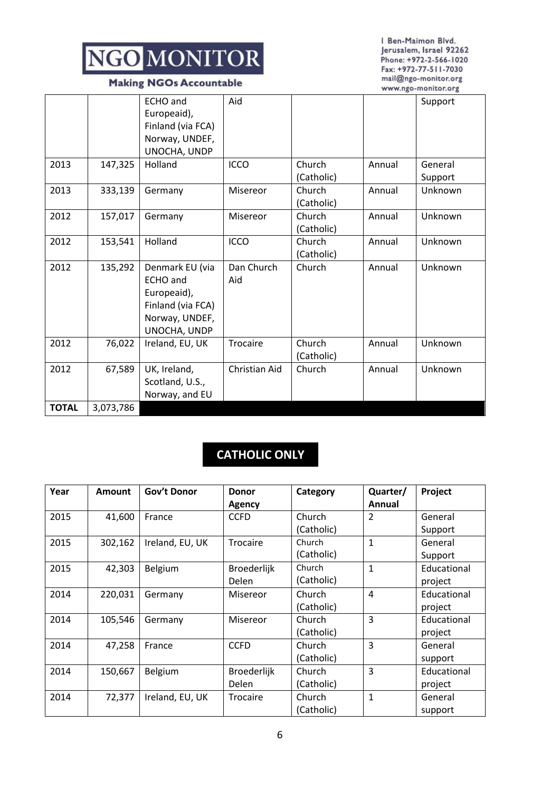**Making NGOs Accountable** 

I Ben-Maimon Blvd. Jerusalem, Israel 92262 Phone: +972-2-566-1020 Fax: +972-77-511-7030 mail@ngo-monitor.org www.ngo-monitor.org

|              |           | <b>ECHO</b> and<br>Europeaid),<br>Finland (via FCA)<br>Norway, UNDEF,<br>UNOCHA, UNDP                    | Aid               |                      |        | Support            |
|--------------|-----------|----------------------------------------------------------------------------------------------------------|-------------------|----------------------|--------|--------------------|
| 2013         | 147,325   | Holland                                                                                                  | <b>ICCO</b>       | Church<br>(Catholic) | Annual | General<br>Support |
| 2013         | 333,139   | Germany                                                                                                  | Misereor          | Church<br>(Catholic) | Annual | Unknown            |
| 2012         | 157,017   | Germany                                                                                                  | Misereor          | Church<br>(Catholic) | Annual | Unknown            |
| 2012         | 153,541   | Holland                                                                                                  | <b>ICCO</b>       | Church<br>(Catholic) | Annual | Unknown            |
| 2012         | 135,292   | Denmark EU (via<br><b>ECHO</b> and<br>Europeaid),<br>Finland (via FCA)<br>Norway, UNDEF,<br>UNOCHA, UNDP | Dan Church<br>Aid | Church               | Annual | Unknown            |
| 2012         | 76,022    | Ireland, EU, UK                                                                                          | Trocaire          | Church<br>(Catholic) | Annual | Unknown            |
| 2012         | 67,589    | UK, Ireland,<br>Scotland, U.S.,<br>Norway, and EU                                                        | Christian Aid     | Church               | Annual | Unknown            |
| <b>TOTAL</b> | 3,073,786 |                                                                                                          |                   |                      |        |                    |

## **CATHOLIC ONLY**

| Year | <b>Amount</b> | Gov't Donor     | <b>Donor</b><br>Agency | Category   | Quarter/<br>Annual | Project     |
|------|---------------|-----------------|------------------------|------------|--------------------|-------------|
| 2015 | 41,600        | France          | <b>CCFD</b>            | Church     | 2                  | General     |
|      |               |                 |                        | (Catholic) |                    | Support     |
| 2015 | 302,162       | Ireland, EU, UK | Trocaire               | Church     | 1                  | General     |
|      |               |                 |                        | (Catholic) |                    | Support     |
| 2015 | 42,303        | Belgium         | <b>Broederlijk</b>     | Church     | 1                  | Educational |
|      |               |                 | Delen                  | (Catholic) |                    | project     |
| 2014 | 220,031       | Germany         | Misereor               | Church     | 4                  | Educational |
|      |               |                 |                        | (Catholic) |                    | project     |
| 2014 | 105,546       | Germany         | Misereor               | Church     | 3                  | Educational |
|      |               |                 |                        | (Catholic) |                    | project     |
| 2014 | 47,258        | France          | <b>CCFD</b>            | Church     | 3                  | General     |
|      |               |                 |                        | (Catholic) |                    | support     |
| 2014 | 150,667       | Belgium         | <b>Broederlijk</b>     | Church     | 3                  | Educational |
|      |               |                 | <b>Delen</b>           | (Catholic) |                    | project     |
| 2014 | 72,377        | Ireland, EU, UK | <b>Trocaire</b>        | Church     | 1                  | General     |
|      |               |                 |                        | (Catholic) |                    | support     |